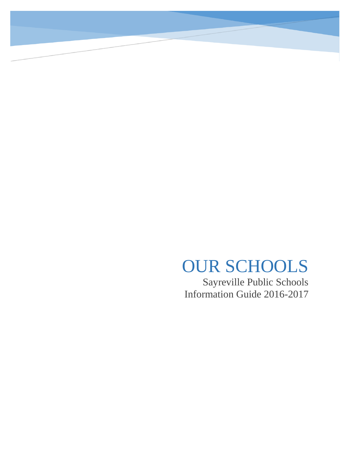# OUR SCHOOLS

Sayreville Public Schools Information Guide 2016-2017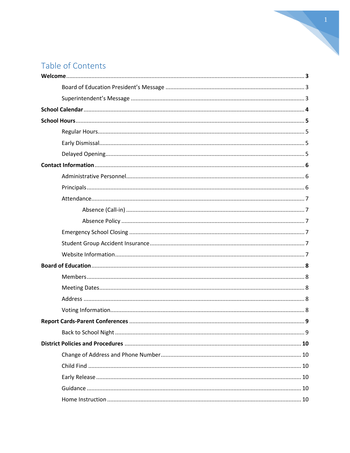# Table of Contents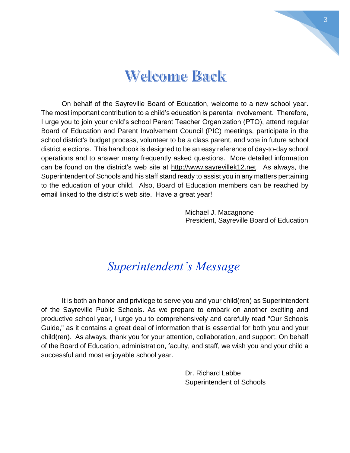

# **Welcome Back**

On behalf of the Sayreville Board of Education, welcome to a new school year. The most important contribution to a child's education is parental involvement. Therefore, I urge you to join your child's school Parent Teacher Organization (PTO), attend regular Board of Education and Parent Involvement Council (PIC) meetings, participate in the school district's budget process, volunteer to be a class parent, and vote in future school district elections. This handbook is designed to be an easy reference of day-to-day school operations and to answer many frequently asked questions. More detailed information can be found on the district's web site at [http://www.sayrevillek12.net.](http://www.sayrevillek12.net/) As always, the Superintendent of Schools and his staff stand ready to assist you in any matters pertaining to the education of your child. Also, Board of Education members can be reached by email linked to the district's web site. Have a great year!

> Michael J. Macagnone President, Sayreville Board of Education

# *Superintendent's Message*

It is both an honor and privilege to serve you and your child(ren) as Superintendent of the Sayreville Public Schools. As we prepare to embark on another exciting and productive school year, I urge you to comprehensively and carefully read "Our Schools Guide," as it contains a great deal of information that is essential for both you and your child(ren). As always, thank you for your attention, collaboration, and support. On behalf of the Board of Education, administration, faculty, and staff, we wish you and your child a successful and most enjoyable school year.

> Dr. Richard Labbe Superintendent of Schools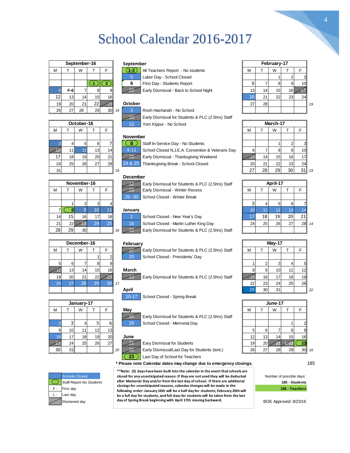# School Calendar 2016-2017

| September-16 |       |    |    |    |  |  |  |  |  |  |  |
|--------------|-------|----|----|----|--|--|--|--|--|--|--|
| M            |       | W  |    | F  |  |  |  |  |  |  |  |
|              |       |    |    |    |  |  |  |  |  |  |  |
|              |       |    |    | 2  |  |  |  |  |  |  |  |
| 5            | $F-6$ |    |    |    |  |  |  |  |  |  |  |
| 12           | 13    | 14 | 15 | 16 |  |  |  |  |  |  |  |
| 19           | 20    | 21 | 22 |    |  |  |  |  |  |  |  |
| 26           | 27    | 28 | 29 | 30 |  |  |  |  |  |  |  |

|     |                                            |           |    |    |                 | Larry Distributed for Organics at LO (2.01113) Oldri |           |          |     |                 |  |  |  |
|-----|--------------------------------------------|-----------|----|----|-----------------|------------------------------------------------------|-----------|----------|-----|-----------------|--|--|--|
|     | October-16<br>12<br>Yom Kippur - No School |           |    |    |                 |                                                      |           | March-17 |     |                 |  |  |  |
| M   |                                            | W         |    |    |                 |                                                      | М         |          | W   |                 |  |  |  |
|     |                                            |           |    |    | <b>November</b> |                                                      |           |          |     |                 |  |  |  |
|     |                                            |           | 6  |    | -8              | Staff In-Service Day - No Students                   |           |          |     |                 |  |  |  |
|     |                                            |           | 13 | 14 | $9 - 11$        | School Closed N.J.E.A. Convention & Veterans Day     | 6         |          | 8   |                 |  |  |  |
|     | 18 <sub>1</sub>                            | 19        | 20 | 21 |                 | Early Dismissal - Thanksgiving Weekend               |           | 141      | 15  | 16 <sup>1</sup> |  |  |  |
| 24  | 251                                        | <b>26</b> | 27 | 28 |                 | 24 & 25   Thanksgiving Break - School Closed         | <b>20</b> | 21       | 22  | 23              |  |  |  |
| 311 |                                            |           |    |    | 10              |                                                      | 271       | 281      | 291 | 3∪              |  |  |  |

|    |                                                                  |                 |    |                 |    | December  |                                                   |          |    |           |  |  |
|----|------------------------------------------------------------------|-----------------|----|-----------------|----|-----------|---------------------------------------------------|----------|----|-----------|--|--|
|    | November-16<br>Early Dismissal for Students & PLC (2.5hrs) Staff |                 |    |                 |    |           |                                                   | April-17 |    |           |  |  |
| М  |                                                                  | W               |    |                 |    |           | Early Dismissal - Winter Recess                   | М        |    | W         |  |  |
|    |                                                                  |                 |    |                 |    | $26 - 30$ | School Closed - Winter Break                      |          |    |           |  |  |
|    |                                                                  |                 |    |                 |    |           |                                                   |          |    |           |  |  |
|    |                                                                  |                 | 10 | 11              |    | January   |                                                   |          |    |           |  |  |
| 14 | 15                                                               | 16              |    | 18 <sup>1</sup> |    |           | School Closed - New Year's Day                    | 17       | 18 | 19        |  |  |
| 21 | 22                                                               |                 | 24 | 25 <sup>2</sup> |    | 16        | School Closed - Martin Luther King Day            | 24       | 25 | <b>26</b> |  |  |
| 28 | 29                                                               | 30 <sup>1</sup> |    |                 | 16 | 23        | Early Dismissal for Students & PLC (2.5hrs) Staff |          |    |           |  |  |

| September |     |
|-----------|-----|
|           | ΑIΙ |
|           | ء   |
|           |     |



Labor Day - School Closed 1 2



26 27 28 29 30 *19* 3 Rosh Hashanah - No School 10 Early Dismissal for Students & PLC (2.5hrs) Staff 12 Yom Kippur - No School **October-16 March-17**

#### **November**



#### **December**





4

|            |    |    |                 |    |    |                 | Larry Diorinobal for Olddonio & FLO (2.01113) Oldin |           |           |    |                 |                 |         |
|------------|----|----|-----------------|----|----|-----------------|-----------------------------------------------------|-----------|-----------|----|-----------------|-----------------|---------|
| October-16 |    |    |                 |    |    | 12              | Yom Kippur - No School                              | March-17  |           |    |                 |                 |         |
|            |    | W  |                 |    |    |                 |                                                     | м         |           | W  |                 |                 |         |
|            |    |    |                 |    |    | <b>November</b> |                                                     |           |           |    |                 |                 |         |
|            | 4  | 5  | 61              |    |    |                 | Staff In-Service Day - No Students                  |           |           |    |                 |                 |         |
|            | 11 |    | 13              | 14 |    | $9 - 11$        | School Closed N.J.E.A. Convention & Veterans Day    |           |           |    | 9               | 10 <sup>1</sup> |         |
| 17         | 18 | 19 | 20 <sup>1</sup> | 21 |    |                 | Early Dismissal - Thanksgiving Weekend              |           | 14        | 15 | 16 <sub>1</sub> | 17 <sup>1</sup> |         |
| 24         | 25 | 26 | 27 <sub>l</sub> | 28 |    | 24 & 25         | Thanksgiving Break - School Closed                  | <b>20</b> | 21        | 22 | 23 <sub>l</sub> | 24              |         |
| 31 I       |    |    |                 |    | 19 |                 |                                                     | 27        | <b>28</b> | 29 | 30 <sup>1</sup> |                 | $31$ 23 |

| November-16 |                 |    |     |           | April-17<br>Early Dismissal for Students & PLC (2.5hrs) Staff |    |    |    |    |    |
|-------------|-----------------|----|-----|-----------|---------------------------------------------------------------|----|----|----|----|----|
|             | W               |    |     |           | Early Dismissal - Winter Recess                               | М  |    | W  |    |    |
|             |                 |    |     | $26 - 30$ | School Closed - Winter Break                                  |    |    |    |    |    |
|             |                 |    |     |           |                                                               |    |    |    | 6  |    |
|             |                 |    |     | January   |                                                               |    |    |    |    |    |
| 15          | 16              | 17 | 18  |           | School Closed - New Year's Day                                |    | 18 | 19 | 20 |    |
| 22          |                 |    | 251 | 16        | School Closed - Martin Luther King Day                        | 24 | 25 | 26 | ົ  | 28 |
| 29          | 30 <sup>°</sup> |    |     | 16        | Early Dismissal for Students & PLC (2.5hrs) Staff             |    |    |    |    |    |

|    |    | December-16 |                 |    | February                                          | Mav-17 |                 |                 |                 |    |  |  |
|----|----|-------------|-----------------|----|---------------------------------------------------|--------|-----------------|-----------------|-----------------|----|--|--|
|    |    | W           |                 |    | Early Dismissal for Students & PLC (2.5hrs) Staff | М      |                 | W               |                 |    |  |  |
|    |    |             |                 |    | 20<br>School Closed - Presidents' Day             |        |                 |                 |                 |    |  |  |
| 5  | 6  |             |                 |    |                                                   |        |                 |                 |                 | 5  |  |  |
|    | 13 | 14          | 15 <sup>1</sup> | 16 | March                                             |        | 9               | 10 <sub>1</sub> | 11              | 12 |  |  |
| 19 | 20 | 21          | 22              |    | Early Dismissal for Students & PLC (2.5hrs) Staff |        | 16              | 17              | 18 <sup>1</sup> | 19 |  |  |
| 26 | 27 | 28          | 29 <sup>°</sup> |    | 17                                                | 22     | 23 <sub>l</sub> | 24              | 25              | 26 |  |  |
|    |    |             |                 |    | April                                             | 29     | 30              | 31 <sub>1</sub> |                 |    |  |  |

|    | January-17      |                 |    |                 |    |        | June-17                                           |                 |     |    |                 |                 |       |  |
|----|-----------------|-----------------|----|-----------------|----|--------|---------------------------------------------------|-----------------|-----|----|-----------------|-----------------|-------|--|
| м  |                 | W               |    |                 |    | May    |                                                   | M               |     | W  |                 |                 |       |  |
|    |                 |                 |    |                 |    | ТC     | Early Dismissal for Students & PLC (2.5hrs) Staff |                 |     |    |                 |                 |       |  |
|    |                 |                 |    | 61              |    | 29     | School Closed - Memorial Day                      |                 |     |    |                 |                 |       |  |
|    | 10 <sup>1</sup> | 11              | 12 | 13 <sub>l</sub> |    |        |                                                   |                 |     |    |                 |                 |       |  |
|    |                 | 18 <sub>1</sub> | 19 | 20              |    | June   |                                                   | 12              | 13. | 14 | 15 <sub>1</sub> | 16 <sup>1</sup> |       |  |
|    | 24              | 25              | 26 | 27              |    |        | Eary Dismissal for Students                       | 19 <sup>1</sup> | 20  |    |                 |                 |       |  |
| 30 | 31              |                 |    |                 | 20 | $\sim$ | Early Dismissal/Last Day for Students (tent.)     | 26 <sub>1</sub> | ີ   | 28 | 29              |                 | 30 16 |  |

**186 - Teachers 185 - Students** Number of possible days:

|    |           | December-16<br>February |     |    |     |              |                                                   | Mav-17 |                 |                 |  |  |
|----|-----------|-------------------------|-----|----|-----|--------------|---------------------------------------------------|--------|-----------------|-----------------|--|--|
| М  |           | W                       |     |    |     |              | Early Dismissal for Students & PLC (2.5hrs) Staff | М      |                 | W               |  |  |
|    |           |                         |     |    |     | 20           | School Closed - Presidents' Day                   |        |                 |                 |  |  |
| 5  | 6         |                         |     |    |     |              |                                                   |        |                 |                 |  |  |
|    | 13        | 14                      | 15  | 16 |     | <b>March</b> |                                                   |        | 9               | 10              |  |  |
| 19 | <b>20</b> | 21                      | 22  |    |     |              | Early Dismissal for Students & PLC (2.5hrs) Staff |        | 16 <sup>1</sup> | 17 <sub>1</sub> |  |  |
| 26 |           | 28                      | 29. | 30 | -17 |              |                                                   | 22     | 23              | 24              |  |  |
|    |           |                         |     |    |     | Anril        |                                                   | DQ.    | וחד             | 31              |  |  |

|      |    | January-17      |    |                 |          |                                                   |                 |    | June-17 |  |
|------|----|-----------------|----|-----------------|----------|---------------------------------------------------|-----------------|----|---------|--|
| М    |    | W               |    |                 | Mav      |                                                   | M               |    | W       |  |
|      |    |                 |    |                 | כוו      | Early Dismissal for Students & PLC (2.5hrs) Staff |                 |    |         |  |
|      |    |                 |    | ы               | 29       | School Closed - Memorial Day                      |                 |    |         |  |
|      | 10 |                 |    | 13 <sup>l</sup> |          |                                                   |                 |    |         |  |
|      | 17 | 18 <sub>1</sub> | 19 | 20              | June     |                                                   | 12              |    |         |  |
|      | 24 | 25              | 26 | 27              |          | Eary Dismissal for Students                       | 19 <sub>l</sub> | 20 |         |  |
| 30 I | 31 |                 |    |                 | റാ<br>20 | Early Dismissal/Last Day for Students (tent.)     | 26              |    | 28.     |  |











Eary Dismissal for Students

23 **Last Day of School for Teachers** 

**\* Please note Calendar dates may change due to emergency closings.** 185

Shortened day **beids are day of Spring Break beginning with April 17th moving backward.** BOE Approved: 8/23/16 **\*\*Note: (3) days have been built into the calendar in the event that schools are closed for any unanticipated reason. If they are not used they will be deducted after Memorial Day and/or from the last day of school. If there are additional closingsfor unanticipated reasons, calendar changes will be made in the following order: January 16th will be a half day for students, February 20th will be a full day for students, and full days for students will be taken from the last** 

**February**









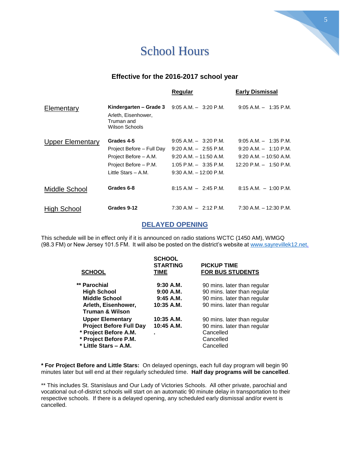# School Hours

### **Effective for the 2016-2017 school year**

|                         |                                                                                                                    | Regular                                                                                                                                      | <b>Early Dismissal</b>                                                                                         |
|-------------------------|--------------------------------------------------------------------------------------------------------------------|----------------------------------------------------------------------------------------------------------------------------------------------|----------------------------------------------------------------------------------------------------------------|
| Elementary              | Kindergarten – Grade 3<br>Arleth, Eisenhower,<br>Truman and<br>Wilson Schools                                      | $9:05$ A.M. $-$ 3:20 P.M.                                                                                                                    | $9:05$ A.M. $-$ 1:35 P.M.                                                                                      |
| <b>Upper Elementary</b> | Grades 4-5<br>Project Before - Full Day<br>Project Before - A.M.<br>Project Before - P.M.<br>Little Stars $- A.M.$ | $9:05$ A.M. $-$ 3:20 P.M.<br>$9:20$ A.M. $-2:55$ P.M.<br>$9:20$ A.M. $-11:50$ A.M.<br>$1:05$ P.M. $-$ 3:35 P.M.<br>$9:30$ A.M. $-12:00$ P.M. | $9:05$ A.M. $-$ 1:35 P.M.<br>$9:20$ A.M. $-1:10$ P.M.<br>$9:20$ A.M. $-10:50$ A.M.<br>12:20 P.M. $-$ 1:50 P.M. |
| Middle School           | Grades 6-8                                                                                                         | $8:15$ A.M $-$ 2:45 P.M.                                                                                                                     | $8:15$ A.M. $-1:00$ P.M.                                                                                       |
| High School             | Grades 9-12                                                                                                        | 7:30 A.M $-$ 2:12 P.M.                                                                                                                       | $7:30$ A.M. $-12:30$ P.M.                                                                                      |

### **DELAYED OPENING**

This schedule will be in effect only if it is announced on radio stations WCTC (1450 AM), WMGQ (98.3 FM) or New Jersey 101.5 FM. It will also be posted on the district's website at [www.sayrevillek12.net.](http://www.sayrevillek12.net/)

| <b>SCHOOL</b>                                                                                                                        | <b>SCHOOL</b><br><b>STARTING</b><br>TIME            | <b>PICKUP TIME</b><br><b>FOR BUS STUDENTS</b>                                                                            |
|--------------------------------------------------------------------------------------------------------------------------------------|-----------------------------------------------------|--------------------------------------------------------------------------------------------------------------------------|
| ** Parochial<br><b>High School</b><br><b>Middle School</b><br>Arleth, Eisenhower,<br><b>Truman &amp; Wilson</b>                      | $9:30$ A.M.<br>9:00 A.M.<br>9:45 A.M.<br>10:35 A.M. | 90 mins. later than regular<br>90 mins. later than regular<br>90 mins. later than regular<br>90 mins. later than regular |
| <b>Upper Elementary</b><br><b>Project Before Full Day</b><br>* Project Before A.M.<br>* Project Before P.M.<br>* Little Stars - A.M. | 10:35 A.M.<br>10:45 A.M.                            | 90 mins. later than regular<br>90 mins. later than regular<br>Cancelled<br>Cancelled<br>Cancelled                        |

**\* For Project Before and Little Stars:** On delayed openings, each full day program will begin 90 minutes later but will end at their regularly scheduled time. **Half day programs will be cancelled**.

\*\* This includes St. Stanislaus and Our Lady of Victories Schools. All other private, parochial and vocational out-of-district schools will start on an automatic 90 minute delay in transportation to their respective schools. If there is a delayed opening, any scheduled early dismissal and/or event is cancelled.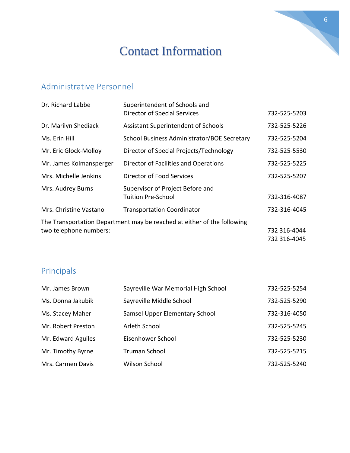# Contact Information

# Administrative Personnel

| Dr. Richard Labbe       | Superintendent of Schools and<br><b>Director of Special Services</b>    | 732-525-5203 |
|-------------------------|-------------------------------------------------------------------------|--------------|
| Dr. Marilyn Shediack    | Assistant Superintendent of Schools                                     | 732-525-5226 |
| Ms. Erin Hill           | School Business Administrator/BOE Secretary                             | 732-525-5204 |
| Mr. Eric Glock-Molloy   | Director of Special Projects/Technology                                 | 732-525-5530 |
| Mr. James Kolmansperger | Director of Facilities and Operations                                   | 732-525-5225 |
| Mrs. Michelle Jenkins   | Director of Food Services                                               | 732-525-5207 |
| Mrs. Audrey Burns       | Supervisor of Project Before and<br><b>Tuition Pre-School</b>           | 732-316-4087 |
| Mrs. Christine Vastano  | <b>Transportation Coordinator</b>                                       | 732-316-4045 |
|                         | The Transportation Department may be reached at either of the following |              |
| two telephone numbers:  |                                                                         | 732 316-4044 |
|                         |                                                                         | 732 316-4045 |

# Principals

| Mr. James Brown    | Sayreville War Memorial High School | 732-525-5254 |
|--------------------|-------------------------------------|--------------|
| Ms. Donna Jakubik  | Sayreville Middle School            | 732-525-5290 |
| Ms. Stacey Maher   | Samsel Upper Elementary School      | 732-316-4050 |
| Mr. Robert Preston | Arleth School                       | 732-525-5245 |
| Mr. Edward Aguiles | Eisenhower School                   | 732-525-5230 |
| Mr. Timothy Byrne  | <b>Truman School</b>                | 732-525-5215 |
| Mrs. Carmen Davis  | Wilson School                       | 732-525-5240 |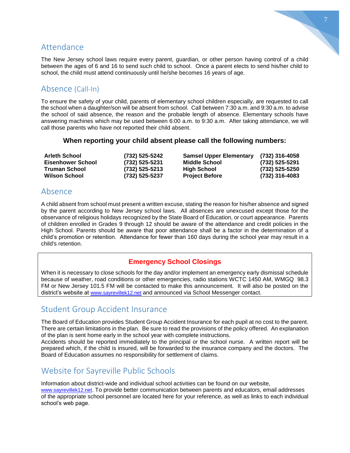# Attendance

The New Jersey school laws require every parent, guardian, or other person having control of a child between the ages of 6 and 16 to send such child to school. Once a parent elects to send his/her child to school, the child must attend continuously until he/she becomes 16 years of age.

# Absence (Call-In)

To ensure the safety of your child, parents of elementary school children especially, are requested to call the school when a daughter/son will be absent from school. Call between 7:30 a.m. and 9:30 a.m. to advise the school of said absence, the reason and the probable length of absence. Elementary schools have answering machines which may be used between 6:00 a.m. to 9:30 a.m. After taking attendance, we will call those parents who have not reported their child absent.

#### **When reporting your child absent please call the following numbers:**

| <b>Arleth School</b>     | (732) 525-5242 | <b>Samsel Upper Elementary</b> | (732) 316-4058 |
|--------------------------|----------------|--------------------------------|----------------|
| <b>Eisenhower School</b> | (732) 525-5231 | <b>Middle School</b>           | (732) 525-5291 |
| <b>Truman School</b>     | (732) 525-5213 | <b>High School</b>             | (732) 525-5250 |
| <b>Wilson School</b>     | (732) 525-5237 | <b>Project Before</b>          | (732) 316-4083 |

# Absence

A child absent from school must present a written excuse, stating the reason for his/her absence and signed by the parent according to New Jersey school laws. All absences are unexcused except those for the observance of religious holidays recognized by the State Board of Education, or court appearance. Parents of children enrolled in Grades 9 through 12 should be aware of the attendance and credit policies in the High School. Parents should be aware that poor attendance shall be a factor in the determination of a child's promotion or retention. Attendance for fewer than 160 days during the school year may result in a child's retention.

### **Emergency School Closings**

When it is necessary to close schools for the day and/or implement an emergency early dismissal schedule because of weather, road conditions or other emergencies, radio stations WCTC 1450 AM, WMGQ 98.3 FM or New Jersey 101.5 FM will be contacted to make this announcement. It will also be posted on the district's website at [www.sayrevillek12.net](http://www.sayrevillek12.net/) and announced via School Messenger contact.

# Student Group Accident Insurance

The Board of Education provides Student Group Accident Insurance for each pupil at no cost to the parent. There are certain limitations in the plan. Be sure to read the provisions of the policy offered. An explanation of the plan is sent home early in the school year with complete instructions.

Accidents should be reported immediately to the principal or the school nurse. A written report will be prepared which, if the child is insured, will be forwarded to the insurance company and the doctors. The Board of Education assumes no responsibility for settlement of claims.

# Website for Sayreville Public Schools

Information about district-wide and individual school activities can be found on our website, [www.sayrevillek12.net](http://www.sayrevillek12.net/). To provide better communication between parents and educators, email addresses of the appropriate school personnel are located here for your reference, as well as links to each individual school's web page.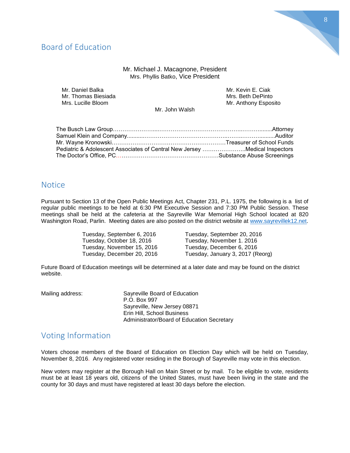# Board of Education

#### Mr. Michael J. Macagnone, President Mrs. Phyllis Batko, Vice President

| Mr. Daniel Balka    | Mr. Kevin E. Ciak    |
|---------------------|----------------------|
| Mr. Thomas Biesiada | Mrs. Beth DePinto    |
| Mrs. Lucille Bloom  | Mr. Anthony Esposito |
|                     |                      |

Mr. John Walsh

| Pediatric & Adolescent Associates of Central New Jersey Medical Inspectors |  |
|----------------------------------------------------------------------------|--|
|                                                                            |  |

### **Notice**

Pursuant to Section 13 of the Open Public Meetings Act, Chapter 231, P.L. 1975, the following is a list of regular public meetings to be held at 6:30 PM Executive Session and 7:30 PM Public Session. These meetings shall be held at the cafeteria at the Sayreville War Memorial High School located at 820 Washington Road, Parlin. Meeting dates are also posted on the district website at [www.sayrevillek12.net.](http://www.sayrevillek12.net/)

> Tuesday, September 6, 2016 Tuesday, September 20, 2016 Tuesday, October 18, 2016 Tuesday, November 1. 2016 Tuesday, November 15, 2016 Tuesday, December 6, 2016

Tuesday, December 20, 2016 Tuesday, January 3, 2017 (Reorg)

Future Board of Education meetings will be determined at a later date and may be found on the district website.

| Mailing address: | Sayreville Board of Education              |
|------------------|--------------------------------------------|
|                  | P.O. Box 997                               |
|                  | Sayreville, New Jersey 08871               |
|                  | Erin Hill, School Business                 |
|                  | Administrator/Board of Education Secretary |
|                  |                                            |

# Voting Information

Voters choose members of the Board of Education on Election Day which will be held on Tuesday, November 8, 2016. Any registered voter residing in the Borough of Sayreville may vote in this election.

New voters may register at the Borough Hall on Main Street or by mail. To be eligible to vote, residents must be at least 18 years old, citizens of the United States, must have been living in the state and the county for 30 days and must have registered at least 30 days before the election.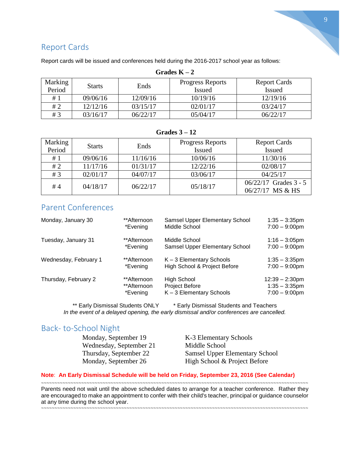

# Report Cards

| Grades $K-2$ |                       |                         |                     |               |
|--------------|-----------------------|-------------------------|---------------------|---------------|
| Marking      | Ends<br><b>Starts</b> | <b>Progress Reports</b> | <b>Report Cards</b> |               |
| Period       |                       |                         | <b>Issued</b>       | <b>Issued</b> |
| #1           | 09/06/16              | 12/09/16                | 10/19/16            | 12/19/16      |
| #2           | 12/12/16              | 03/15/17                | 02/01/17            | 03/24/17      |
| #3           | 03/16/17              | 06/22/17                | 05/04/17            | 06/22/17      |

Report cards will be issued and conferences held during the 2016-2017 school year as follows:

#### **Grades 3 – 12**

| Marking | <b>Starts</b> | Ends     | <b>Progress Reports</b> | <b>Report Cards</b>     |
|---------|---------------|----------|-------------------------|-------------------------|
| Period  |               |          | <b>Issued</b>           | <b>Issued</b>           |
| #1      | 09/06/16      | 11/16/16 | 10/06/16                | 11/30/16                |
| #2      | 11/17/16      | 01/31/17 | 12/22/16                | 02/08/17                |
| #3      | 02/01/17      | 04/07/17 | 03/06/17                | 04/25/17                |
| #4      | 04/18/17      | 06/22/17 | 05/18/17                | $06/22/17$ Grades 3 - 5 |
|         |               |          | 06/27/17 MS & HS        |                         |

# Parent Conferences

| Monday, January 30    | **Afternoon | Samsel Upper Elementary School | $1:35 - 3:35$ pm  |
|-----------------------|-------------|--------------------------------|-------------------|
|                       | *Evening    | Middle School                  | $7:00 - 9:00$ pm  |
| Tuesday, January 31   | **Afternoon | Middle School                  | $1:16 - 3:05$ pm  |
|                       | *Evening    | Samsel Upper Elementary School | $7:00 - 9:00$ pm  |
| Wednesday, February 1 | **Afternoon | K-3 Elementary Schools         | $1:35 - 3:35$ pm  |
|                       | *Evening    | High School & Project Before   | $7:00 - 9:00$ pm  |
| Thursday, February 2  | **Afternoon | High School                    | $12:39 - 2:30$ pm |
|                       | **Afternoon | Project Before                 | $1:35 - 3:35$ pm  |
|                       | *Evening    | $K - 3$ Elementary Schools     | $7:00 - 9:00$ pm  |

\*\* Early Dismissal Students ONLY \* Early Dismissal Students and Teachers *In the event of a delayed opening, the early dismissal and/or conferences are cancelled.*

# Back- to-School Night

Monday, September 19 K-3 Elementary Schools Wednesday, September 21 Middle School<br>Thursday, September 22 Samsel Upper 1 Samsel Upper Elementary School Monday, September 26 High School & Project Before

#### **Note**: **An Early Dismissal Schedule will be held on Friday, September 23, 2016 (See Calendar)**

~~~~~~~~~~~~~~~~~~~~~~~~~~~~~~~~~~~~~~~~~~~~~~~~~~~~~~~~~~~~~~~~~~~~~~~~~~~~~~~~~~~~~~~~~~~~~~~~~~~~ Parents need not wait until the above scheduled dates to arrange for a teacher conference. Rather they are encouraged to make an appointment to confer with their child's teacher, principal or guidance counselor at any time during the school year.

~~~~~~~~~~~~~~~~~~~~~~~~~~~~~~~~~~~~~~~~~~~~~~~~~~~~~~~~~~~~~~~~~~~~~~~~~~~~~~~~~~~~~~~~~~~~~~~~~~~~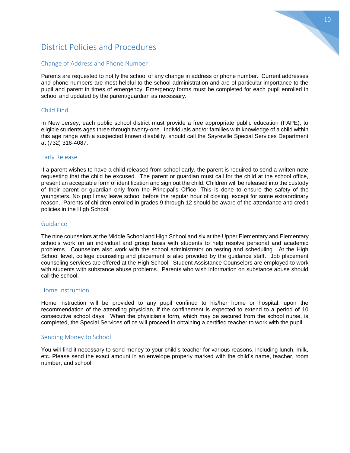# District Policies and Procedures

#### Change of Address and Phone Number

Parents are requested to notify the school of any change in address or phone number. Current addresses and phone numbers are most helpful to the school administration and are of particular importance to the pupil and parent in times of emergency. Emergency forms must be completed for each pupil enrolled in school and updated by the parent/guardian as necessary.

#### Child Find

In New Jersey, each public school district must provide a free appropriate public education (FAPE), to eligible students ages three through twenty-one. Individuals and/or families with knowledge of a child within this age range with a suspected known disability, should call the Sayreville Special Services Department at (732) 316-4087.

#### Early Release

If a parent wishes to have a child released from school early, the parent is required to send a written note requesting that the child be excused. The parent or guardian must call for the child at the school office, present an acceptable form of identification and sign out the child. Children will be released into the custody of their parent or guardian only from the Principal's Office. This is done to ensure the safety of the youngsters. No pupil may leave school before the regular hour of closing, except for some extraordinary reason. Parents of children enrolled in grades 9 through 12 should be aware of the attendance and credit policies in the High School.

#### Guidance

The nine counselors at the Middle School and High School and six at the Upper Elementary and Elementary schools work on an individual and group basis with students to help resolve personal and academic problems. Counselors also work with the school administrator on testing and scheduling. At the High School level, college counseling and placement is also provided by the guidance staff. Job placement counseling services are offered at the High School. Student Assistance Counselors are employed to work with students with substance abuse problems. Parents who wish information on substance abuse should call the school.

#### Home Instruction

Home instruction will be provided to any pupil confined to his/her home or hospital, upon the recommendation of the attending physician, if the confinement is expected to extend to a period of 10 consecutive school days. When the physician's form, which may be secured from the school nurse, is completed, the Special Services office will proceed in obtaining a certified teacher to work with the pupil.

#### Sending Money to School

You will find it necessary to send money to your child's teacher for various reasons, including lunch, milk, etc. Please send the exact amount in an envelope properly marked with the child's name, teacher, room number, and school.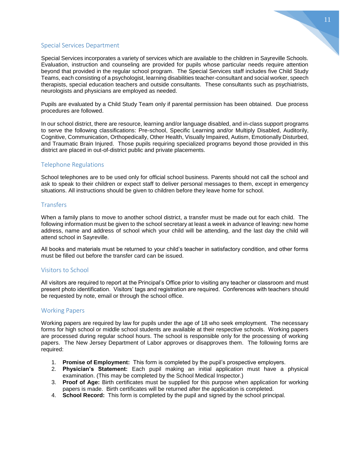### 11

#### Special Services Department

Special Services incorporates a variety of services which are available to the children in Sayreville Schools. Evaluation, instruction and counseling are provided for pupils whose particular needs require attention beyond that provided in the regular school program. The Special Services staff includes five Child Study Teams, each consisting of a psychologist, learning disabilities teacher-consultant and social worker, speech therapists, special education teachers and outside consultants. These consultants such as psychiatrists, neurologists and physicians are employed as needed.

Pupils are evaluated by a Child Study Team only if parental permission has been obtained. Due process procedures are followed.

In our school district, there are resource, learning and/or language disabled, and in-class support programs to serve the following classifications: Pre-school, Specific Learning and/or Multiply Disabled, Auditorily, Cognitive, Communication, Orthopedically, Other Health, Visually Impaired, Autism, Emotionally Disturbed, and Traumatic Brain Injured. Those pupils requiring specialized programs beyond those provided in this district are placed in out-of-district public and private placements.

#### Telephone Regulations

School telephones are to be used only for official school business. Parents should not call the school and ask to speak to their children or expect staff to deliver personal messages to them, except in emergency situations. All instructions should be given to children before they leave home for school.

#### **Transfers**

When a family plans to move to another school district, a transfer must be made out for each child. The following information must be given to the school secretary at least a week in advance of leaving: new home address, name and address of school which your child will be attending, and the last day the child will attend school in Sayreville.

All books and materials must be returned to your child's teacher in satisfactory condition, and other forms must be filled out before the transfer card can be issued.

#### Visitors to School

All visitors are required to report at the Principal's Office prior to visiting any teacher or classroom and must present photo identification. Visitors' tags and registration are required. Conferences with teachers should be requested by note, email or through the school office.

#### Working Papers

Working papers are required by law for pupils under the age of 18 who seek employment. The necessary forms for high school or middle school students are available at their respective schools. Working papers are processed during regular school hours. The school is responsible only for the processing of working papers. The New Jersey Department of Labor approves or disapproves them. The following forms are required:

- 1. **Promise of Employment:** This form is completed by the pupil's prospective employers.
- 2. **Physician's Statement:** Each pupil making an initial application must have a physical examination. (This may be completed by the School Medical Inspector.)
- 3. **Proof of Age:** Birth certificates must be supplied for this purpose when application for working papers is made. Birth certificates will be returned after the application is completed.
- 4. **School Record:** This form is completed by the pupil and signed by the school principal.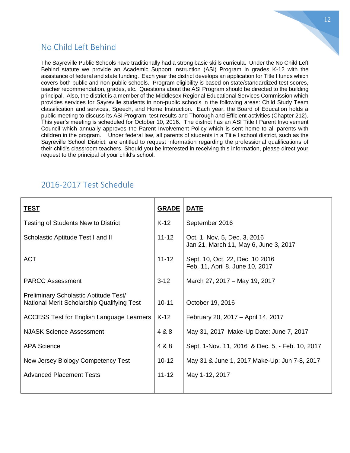# No Child Left Behind

The Sayreville Public Schools have traditionally had a strong basic skills curricula. Under the No Child Left Behind statute we provide an Academic Support Instruction (ASI) Program in grades K-12 with the assistance of federal and state funding. Each year the district develops an application for Title I funds which covers both public and non-public schools. Program eligibility is based on state/standardized test scores, teacher recommendation, grades, etc. Questions about the ASI Program should be directed to the building principal. Also, the district is a member of the Middlesex Regional Educational Services Commission which provides services for Sayreville students in non-public schools in the following areas: Child Study Team classification and services, Speech, and Home Instruction. Each year, the Board of Education holds a public meeting to discuss its ASI Program, test results and Thorough and Efficient activities (Chapter 212). This year's meeting is scheduled for October 10, 2016. The district has an ASI Title I Parent Involvement Council which annually approves the Parent Involvement Policy which is sent home to all parents with children in the program. Under federal law, all parents of students in a Title I school district, such as the Sayreville School District, are entitled to request information regarding the professional qualifications of their child's classroom teachers. Should you be interested in receiving this information, please direct your request to the principal of your child's school.

# 2016-2017 Test Schedule

| <u>TEST</u>                                                                         | <b>GRADE</b> | <u>DATE</u>                                                           |
|-------------------------------------------------------------------------------------|--------------|-----------------------------------------------------------------------|
| Testing of Students New to District                                                 | $K-12$       | September 2016                                                        |
| Scholastic Aptitude Test I and II                                                   | $11 - 12$    | Oct. 1, Nov. 5, Dec. 3, 2016<br>Jan 21, March 11, May 6, June 3, 2017 |
| <b>ACT</b>                                                                          | $11 - 12$    | Sept. 10, Oct. 22, Dec. 10 2016<br>Feb. 11, April 8, June 10, 2017    |
| <b>PARCC Assessment</b>                                                             | $3 - 12$     | March 27, 2017 - May 19, 2017                                         |
| Preliminary Scholastic Aptitude Test/<br>National Merit Scholarship Qualifying Test | $10 - 11$    | October 19, 2016                                                      |
| ACCESS Test for English Language Learners                                           | $K-12$       | February 20, 2017 - April 14, 2017                                    |
| <b>NJASK Science Assessment</b>                                                     | 4 & 8        | May 31, 2017 Make-Up Date: June 7, 2017                               |
| <b>APA Science</b>                                                                  | 4 & 8        | Sept. 1-Nov. 11, 2016 & Dec. 5, - Feb. 10, 2017                       |
| New Jersey Biology Competency Test                                                  | $10 - 12$    | May 31 & June 1, 2017 Make-Up: Jun 7-8, 2017                          |
| <b>Advanced Placement Tests</b>                                                     | $11 - 12$    | May 1-12, 2017                                                        |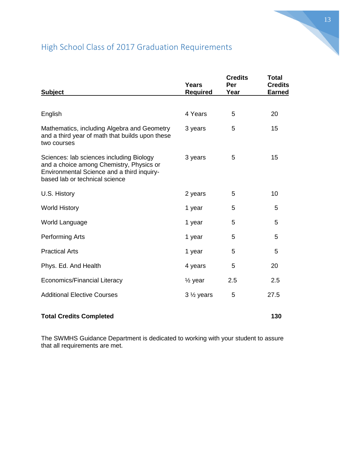# High School Class of 2017 Graduation Requirements

| <b>Subject</b>                                                                                                                                                       | <b>Years</b><br><b>Required</b> | <b>Credits</b><br>Per<br>Year | <b>Total</b><br><b>Credits</b><br><b>Earned</b> |
|----------------------------------------------------------------------------------------------------------------------------------------------------------------------|---------------------------------|-------------------------------|-------------------------------------------------|
|                                                                                                                                                                      |                                 |                               |                                                 |
| English                                                                                                                                                              | 4 Years                         | 5                             | 20                                              |
| Mathematics, including Algebra and Geometry<br>and a third year of math that builds upon these<br>two courses                                                        | 3 years                         | 5                             | 15                                              |
| Sciences: lab sciences including Biology<br>and a choice among Chemistry, Physics or<br>Environmental Science and a third inquiry-<br>based lab or technical science | 3 years                         | 5                             | 15                                              |
| U.S. History                                                                                                                                                         | 2 years                         | 5                             | 10                                              |
| <b>World History</b>                                                                                                                                                 | 1 year                          | 5                             | 5                                               |
| World Language                                                                                                                                                       | 1 year                          | 5                             | 5                                               |
| Performing Arts                                                                                                                                                      | 1 year                          | 5                             | 5                                               |
| <b>Practical Arts</b>                                                                                                                                                | 1 year                          | 5                             | 5                                               |
| Phys. Ed. And Health                                                                                                                                                 | 4 years                         | 5                             | 20                                              |
| <b>Economics/Financial Literacy</b>                                                                                                                                  | $\frac{1}{2}$ year              | 2.5                           | 2.5                                             |
| <b>Additional Elective Courses</b>                                                                                                                                   | $3\frac{1}{2}$ years            | 5                             | 27.5                                            |

## **Total Credits Completed 130**

The SWMHS Guidance Department is dedicated to working with your student to assure that all requirements are met.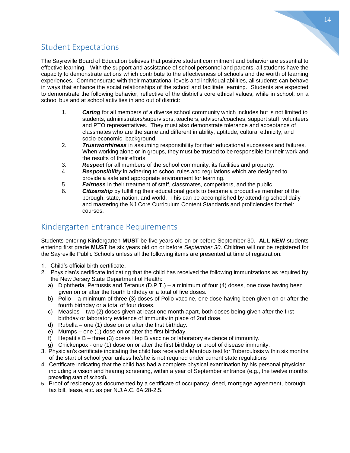# Student Expectations

The Sayreville Board of Education believes that positive student commitment and behavior are essential to effective learning. With the support and assistance of school personnel and parents, all students have the capacity to demonstrate actions which contribute to the effectiveness of schools and the worth of learning experiences. Commensurate with their maturational levels and individual abilities, all students can behave in ways that enhance the social relationships of the school and facilitate learning. Students are expected to demonstrate the following behavior, reflective of the district's core ethical values, while in school, on a school bus and at school activities in and out of district:

- 1. *Caring* for all members of a diverse school community which includes but is not limited to students, administrators/supervisors, teachers, advisors/coaches, support staff, volunteers and PTO representatives. They must also demonstrate tolerance and acceptance of classmates who are the same and different in ability, aptitude, cultural ethnicity, and socio-economic background.
- 2. *Trustworthiness* in assuming responsibility for their educational successes and failures. When working alone or in groups, they must be trusted to be responsible for their work and the results of their efforts.
- 3. *Respect* for all members of the school community, its facilities and property.
- 4. *Responsibility* in adhering to school rules and regulations which are designed to provide a safe and appropriate environment for learning.
- 5. *Fairness* in their treatment of staff, classmates, competitors, and the public.
- 6. *Citizenship* by fulfilling their educational goals to become a productive member of the borough, state, nation, and world. This can be accomplished by attending school daily and mastering the NJ Core Curriculum Content Standards and proficiencies for their courses.

# Kindergarten Entrance Requirements

Students entering Kindergarten **MUST** be five years old on or before September 30. **ALL NEW** students entering first grade **MUST** be six years old on or before *September 30*. Children will not be registered for the Sayreville Public Schools unless all the following items are presented at time of registration:

- 1. Child's official birth certificate.
- 2. Physician's certificate indicating that the child has received the following immunizations as required by the New Jersey State Department of Health:
	- a) Diphtheria, Pertussis and Tetanus (D.P.T.) a minimum of four (4) doses, one dose having been given on or after the fourth birthday or a total of five doses.
	- b) Polio a minimum of three (3) doses of Polio vaccine, one dose having been given on or after the fourth birthday or a total of four doses.
	- c) Measles two (2) doses given at least one month apart, both doses being given after the first birthday or laboratory evidence of immunity in place of 2nd dose.
	- d) Rubella one (1) dose on or after the first birthday.
	- e) Mumps one (1) dose on or after the first birthday.
	- f) Hepatitis B three (3) doses Hep B vaccine or laboratory evidence of immunity.
	- g) Chickenpox one (1) dose on or after the first birthday or proof of disease immunity.
- 3. Physician's certificate indicating the child has received a Mantoux test for Tuberculosis within six months of the start of school year unless he/she is not required under current state regulations
- 4. Certificate indicating that the child has had a complete physical examination by his personal physician including a vision and hearing screening, within a year of September entrance (e.g., the twelve months preceding start of school).
- 5. Proof of residency as documented by a certificate of occupancy, deed, mortgage agreement, borough tax bill, lease, etc. as per N.J.A.C. 6A:28-2.5.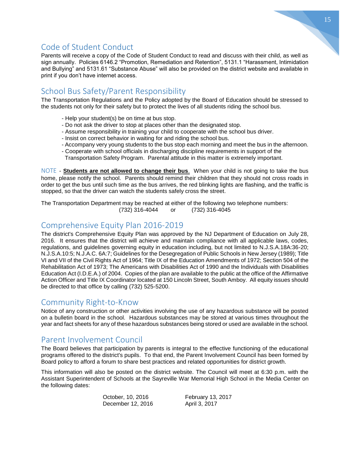# Code of Student Conduct

Parents will receive a copy of the Code of Student Conduct to read and discuss with their child, as well as sign annually. Policies 6146.2 "Promotion, Remediation and Retention", 5131.1 "Harassment, Intimidation and Bullying" and 5131.61 "Substance Abuse" will also be provided on the district website and available in print if you don't have internet access.

# School Bus Safety/Parent Responsibility

The Transportation Regulations and the Policy adopted by the Board of Education should be stressed to the students not only for their safety but to protect the lives of all students riding the school bus.

- Help your student(s) be on time at bus stop.
- Do not ask the driver to stop at places other than the designated stop.
- Assume responsibility in training your child to cooperate with the school bus driver.
- Insist on correct behavior in waiting for and riding the school bus.
- Accompany very young students to the bus stop each morning and meet the bus in the afternoon.
- Cooperate with school officials in discharging discipline requirements in support of the Transportation Safety Program. Parental attitude in this matter is extremely important.

NOTE - **Students are not allowed to change their bus**. When your child is not going to take the bus home, please notify the school. Parents should remind their children that they should not cross roads in order to get the bus until such time as the bus arrives, the red blinking lights are flashing, and the traffic is stopped, so that the driver can watch the students safely cross the street.

The Transportation Department may be reached at either of the following two telephone numbers: (732) 316-4044 or (732) 316-4045

# Comprehensive Equity Plan 2016-2019

The district's Comprehensive Equity Plan was approved by the NJ Department of Education on July 28, 2016. It ensures that the district will achieve and maintain compliance with all applicable laws, codes, regulations, and guidelines governing equity in education including, but not limited to N.J.S.A.18A:36-20; N.J.S.A.10:5; N.J.A.C. 6A:7; Guidelines for the Desegregation of Public Schools in New Jersey (1989); Title VI and VII of the Civil Rights Act of 1964; Title IX of the Education Amendments of 1972; Section 504 of the Rehabilitation Act of 1973; The Americans with Disabilities Act of 1990 and the Individuals with Disabilities Education Act (I.D.E.A.) of 2004. Copies of the plan are available to the public at the office of the Affirmative Action Officer and Title IX Coordinator located at 150 Lincoln Street, South Amboy. All equity issues should be directed to that office by calling (732) 525-5200.

### Community Right-to-Know

Notice of any construction or other activities involving the use of any hazardous substance will be posted on a bulletin board in the school. Hazardous substances may be stored at various times throughout the year and fact sheets for any of these hazardous substances being stored or used are available in the school.

## Parent Involvement Council

The Board believes that participation by parents is integral to the effective functioning of the educational programs offered to the district's pupils. To that end, the Parent Involvement Council has been formed by Board policy to afford a forum to share best practices and related opportunities for district growth.

This information will also be posted on the district website. The Council will meet at 6:30 p.m. with the Assistant Superintendent of Schools at the Sayreville War Memorial High School in the Media Center on the following dates:

> October, 10, 2016 February 13, 2017 December 12, 2016 <br>
> April 3, 2017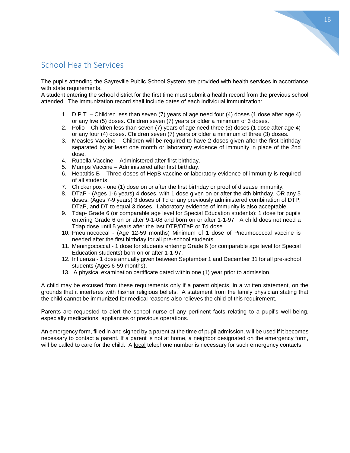# School Health Services

The pupils attending the Sayreville Public School System are provided with health services in accordance with state requirements.

A student entering the school district for the first time must submit a health record from the previous school attended. The immunization record shall include dates of each individual immunization:

- 1. D.P.T. Children less than seven (7) years of age need four (4) doses (1 dose after age 4) or any five (5) doses. Children seven (7) years or older a minimum of 3 doses.
- 2. Polio Children less than seven (7) years of age need three (3) doses (1 dose after age 4) or any four (4) doses. Children seven (7) years or older a minimum of three (3) doses.
- 3. Measles Vaccine Children will be required to have 2 doses given after the first birthday separated by at least one month or laboratory evidence of immunity in place of the 2nd dose.
- 4. Rubella Vaccine Administered after first birthday.
- 5. Mumps Vaccine Administered after first birthday.
- 6. Hepatitis B Three doses of HepB vaccine or laboratory evidence of immunity is required of all students.
- 7. Chickenpox one (1) dose on or after the first birthday or proof of disease immunity.
- 8. DTaP (Ages 1-6 years) 4 doses, with 1 dose given on or after the 4th birthday, OR any 5 doses. (Ages 7-9 years) 3 doses of Td or any previously administered combination of DTP, DTaP, and DT to equal 3 doses. Laboratory evidence of immunity is also acceptable.
- 9. Tdap- Grade 6 (or comparable age level for Special Education students): 1 dose for pupils entering Grade 6 on or after 9-1-08 and born on or after 1-1-97. A child does not need a Tdap dose until 5 years after the last DTP/DTaP or Td dose.
- 10. Pneumococcal (Age 12-59 months) Minimum of 1 dose of Pneumococcal vaccine is needed after the first birthday for all pre-school students.
- 11. Meningococcal 1 dose for students entering Grade 6 (or comparable age level for Special Education students) born on or after 1-1-97.
- 12. Influenza 1 dose annually given between September 1 and December 31 for all pre-school students (Ages 6-59 months).
- 13. A physical examination certificate dated within one (1) year prior to admission.

A child may be excused from these requirements only if a parent objects, in a written statement, on the grounds that it interferes with his/her religious beliefs. A statement from the family physician stating that the child cannot be immunized for medical reasons also relieves the child of this requirement.

Parents are requested to alert the school nurse of any pertinent facts relating to a pupil's well-being, especially medications, appliances or previous operations.

An emergency form, filled in and signed by a parent at the time of pupil admission, will be used if it becomes necessary to contact a parent. If a parent is not at home, a neighbor designated on the emergency form, will be called to care for the child. A local telephone number is necessary for such emergency contacts.